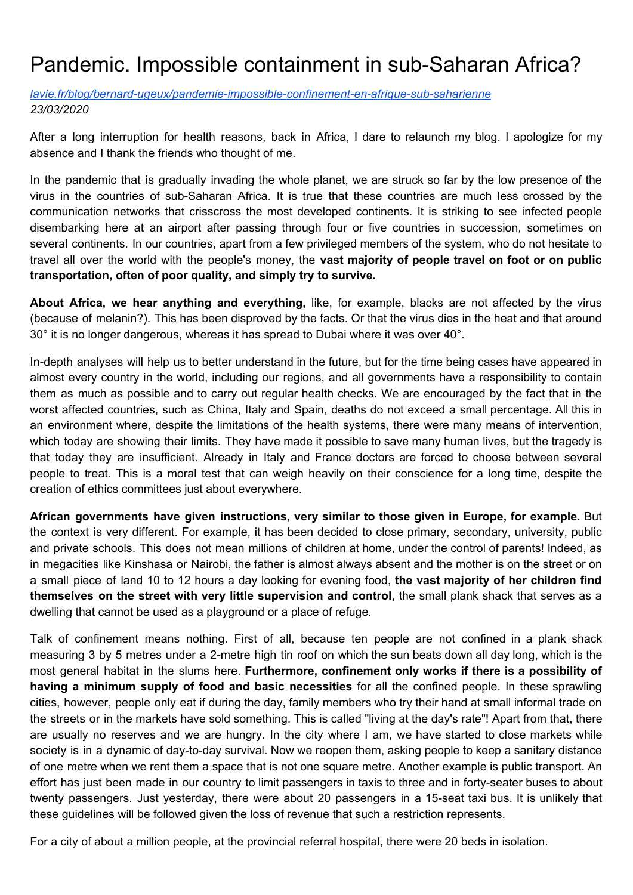## Pandemic. Impossible containment in sub-Saharan Africa?

*[lavie.fr/blog/bernard-ugeux/pandemie-impossible-confinement-en-afrique-sub-saharienne](http://www.lavie.fr/blog/bernard-ugeux/pandemie-impossible-confinement-en-afrique-sub-saharienne,5201) 23/03/2020*

After a long interruption for health reasons, back in Africa, I dare to relaunch my blog. I apologize for my absence and I thank the friends who thought of me.

In the pandemic that is gradually invading the whole planet, we are struck so far by the low presence of the virus in the countries of sub-Saharan Africa. It is true that these countries are much less crossed by the communication networks that crisscross the most developed continents. It is striking to see infected people disembarking here at an airport after passing through four or five countries in succession, sometimes on several continents. In our countries, apart from a few privileged members of the system, who do not hesitate to travel all over the world with the people's money, the **vast majority of people travel on foot or on public transportation, often of poor quality, and simply try to survive.**

**About Africa, we hear anything and everything,** like, for example, blacks are not affected by the virus (because of melanin?). This has been disproved by the facts. Or that the virus dies in the heat and that around 30° it is no longer dangerous, whereas it has spread to Dubai where it was over 40°.

In-depth analyses will help us to better understand in the future, but for the time being cases have appeared in almost every country in the world, including our regions, and all governments have a responsibility to contain them as much as possible and to carry out regular health checks. We are encouraged by the fact that in the worst affected countries, such as China, Italy and Spain, deaths do not exceed a small percentage. All this in an environment where, despite the limitations of the health systems, there were many means of intervention, which today are showing their limits. They have made it possible to save many human lives, but the tragedy is that today they are insufficient. Already in Italy and France doctors are forced to choose between several people to treat. This is a moral test that can weigh heavily on their conscience for a long time, despite the creation of ethics committees just about everywhere.

**African governments have given instructions, very similar to those given in Europe, for example.** But the context is very different. For example, it has been decided to close primary, secondary, university, public and private schools. This does not mean millions of children at home, under the control of parents! Indeed, as in megacities like Kinshasa or Nairobi, the father is almost always absent and the mother is on the street or on a small piece of land 10 to 12 hours a day looking for evening food, **the vast majority of her children find themselves on the street with very little supervision and control**, the small plank shack that serves as a dwelling that cannot be used as a playground or a place of refuge.

Talk of confinement means nothing. First of all, because ten people are not confined in a plank shack measuring 3 by 5 metres under a 2-metre high tin roof on which the sun beats down all day long, which is the most general habitat in the slums here. **Furthermore, confinement only works if there is a possibility of having a minimum supply of food and basic necessities** for all the confined people. In these sprawling cities, however, people only eat if during the day, family members who try their hand at small informal trade on the streets or in the markets have sold something. This is called "living at the day's rate"! Apart from that, there are usually no reserves and we are hungry. In the city where I am, we have started to close markets while society is in a dynamic of day-to-day survival. Now we reopen them, asking people to keep a sanitary distance of one metre when we rent them a space that is not one square metre. Another example is public transport. An effort has just been made in our country to limit passengers in taxis to three and in forty-seater buses to about twenty passengers. Just yesterday, there were about 20 passengers in a 15-seat taxi bus. It is unlikely that these guidelines will be followed given the loss of revenue that such a restriction represents.

For a city of about a million people, at the provincial referral hospital, there were 20 beds in isolation.